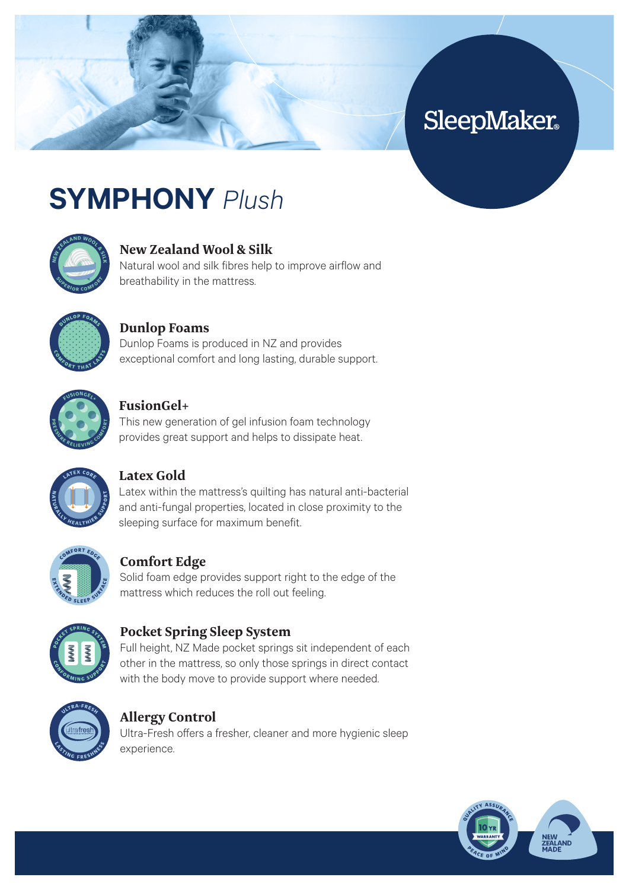# **SleepMaker**

# **SYMPHONY** *Plush*



## **New Zealand Wool & Silk**

Natural wool and silk fibres help to improve airflow and breathability in the mattress.



#### **Dunlop Foams**

Dunlop Foams is produced in NZ and provides exceptional comfort and long lasting, durable support.



#### **FusionGel+**

This new generation of gel infusion foam technology provides great support and helps to dissipate heat.



## **Latex Gold**

Latex within the mattress's quilting has natural anti-bacterial and anti-fungal properties, located in close proximity to the sleeping surface for maximum benefit.



#### **Comfort Edge**

Solid foam edge provides support right to the edge of the mattress which reduces the roll out feeling.



#### **Pocket Spring Sleep System**

Full height, NZ Made pocket springs sit independent of each other in the mattress, so only those springs in direct contact with the body move to provide support where needed.



#### **Allergy Control**

Ultra-Fresh offers a fresher, cleaner and more hygienic sleep experience.

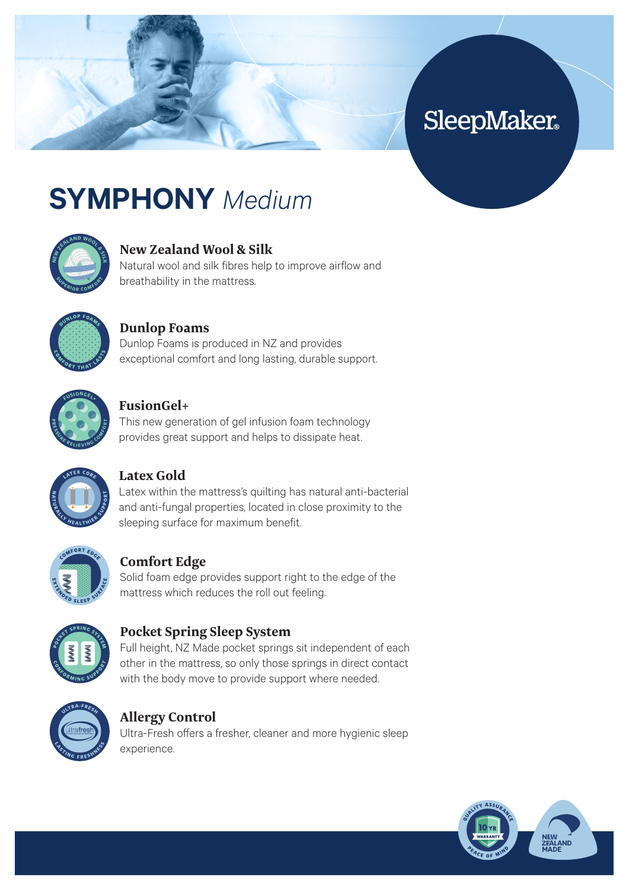# **SleepMaker**

# **SYMPHONY** *Medium*



# **New Zealand Wool & Silk**

Natural wool and silk fibres help to improve airflow and breathability in the mattress.



#### **Dunlop Foams**

Dunlop Foams is produced in NZ and provides exceptional comfort and long lasting, durable support.



#### **FusionGel+**

This new generation of gel infusion foam technology provides great support and helps to dissipate heat.



## **Latex Gold**

Latex within the mattress's quilting has natural anti-bacterial and anti-fungal properties, located in close proximity to the sleeping surface for maximum benefit.



## **Comfort Edge**

Solid foam edge provides support right to the edge of the mattress which reduces the roll out feeling.



#### **Pocket Spring Sleep System**

Full height, NZ Made pocket springs sit independent of each other in the mattress, so only those springs in direct contact with the body move to provide support where needed.



#### **Allergy Control**

Ultra-Fresh offers a fresher, cleaner and more hygienic sleep experience.